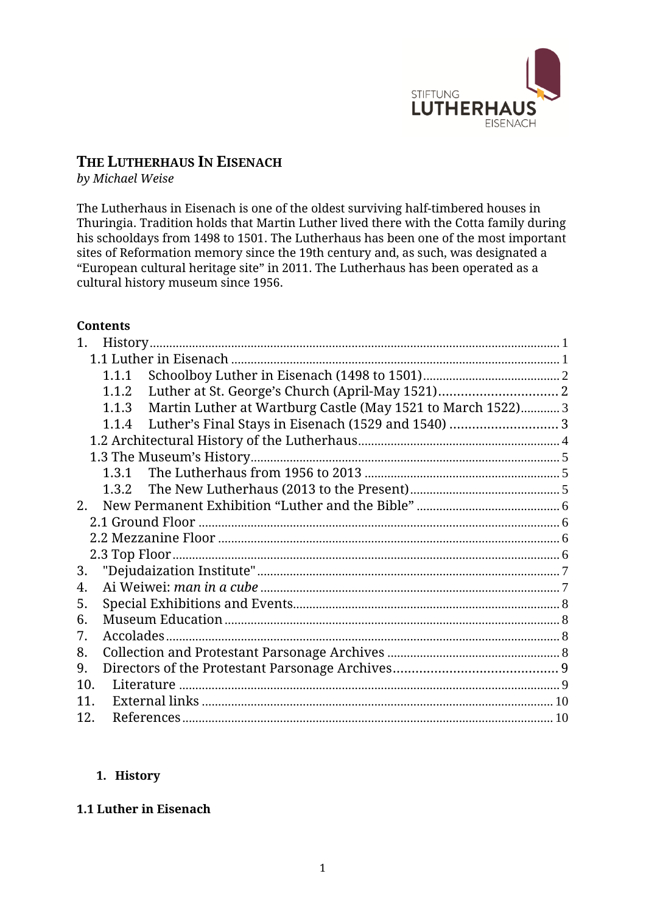

# **THE LUTHERHAUS IN EISENACH**

*by Michael Weise*

The Lutherhaus in Eisenach is one of the oldest surviving half-timbered houses in Thuringia. Tradition holds that Martin Luther lived there with the Cotta family during his schooldays from 1498 to 1501. The Lutherhaus has been one of the most important sites of Reformation memory since the 19th century and, as such, was designated a "European cultural heritage site" in 2011. The Lutherhaus has been operated as a cultural history museum since 1956.

# **Contents**

| 1.  |                                                                  |  |
|-----|------------------------------------------------------------------|--|
|     |                                                                  |  |
|     |                                                                  |  |
|     | 1.1.2                                                            |  |
|     | 1.1.3 Martin Luther at Wartburg Castle (May 1521 to March 1522)3 |  |
|     |                                                                  |  |
|     |                                                                  |  |
|     |                                                                  |  |
|     |                                                                  |  |
|     |                                                                  |  |
|     |                                                                  |  |
|     |                                                                  |  |
|     |                                                                  |  |
|     |                                                                  |  |
| 3.  |                                                                  |  |
| 4.  |                                                                  |  |
| 5.  |                                                                  |  |
| 6.  |                                                                  |  |
| 7.  |                                                                  |  |
| 8.  |                                                                  |  |
| 9.  |                                                                  |  |
| 10. |                                                                  |  |
| 11  |                                                                  |  |
| 12. |                                                                  |  |

### <span id="page-0-0"></span>**1. History**

### <span id="page-0-1"></span>**1.1 Luther in Eisenach**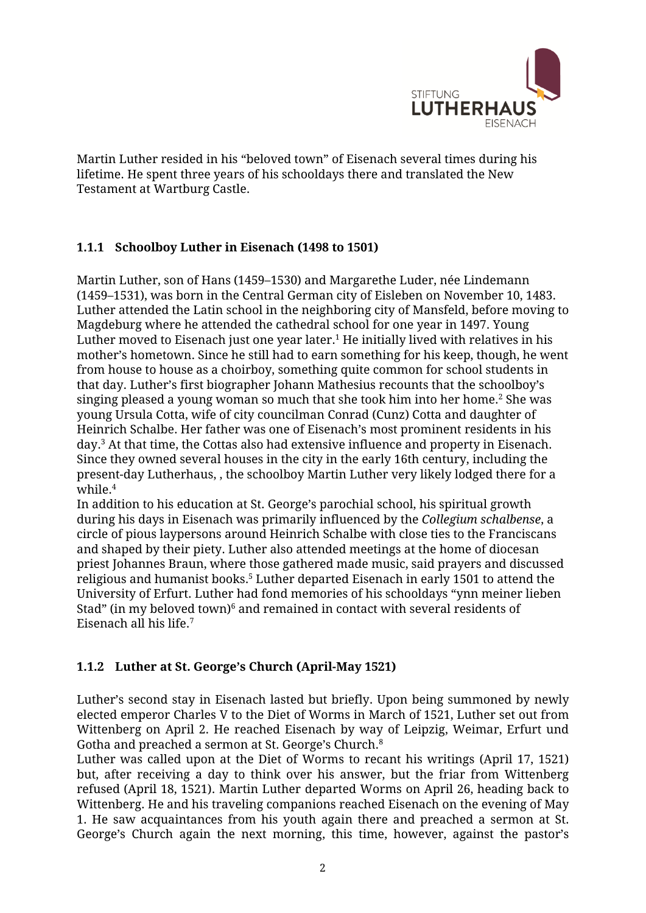

Martin Luther resided in his "beloved town" of Eisenach several times during his lifetime. He spent three years of his schooldays there and translated the New Testament at Wartburg Castle.

# <span id="page-1-0"></span>**1.1.1 Schoolboy Luther in Eisenach (1498 to 1501)**

Martin Luther, son of Hans (1459–1530) and Margarethe Luder, née Lindemann (1459–1531), was born in the Central German city of Eisleben on November 10, 1483. Luther attended the Latin school in the neighboring city of Mansfeld, before moving to Magdeburg where he attended the cathedral school for one year in 1497. Young Luther moved to Eisenach just one year later. <sup>1</sup> He initially lived with relatives in his mother's hometown. Since he still had to earn something for his keep, though, he went from house to house as a choirboy, something quite common for school students in that day. Luther's first biographer Johann Mathesius recounts that the schoolboy's singing pleased a young woman so much that she took him into her home.<sup>2</sup> She was young Ursula Cotta, wife of city councilman Conrad (Cunz) Cotta and daughter of Heinrich Schalbe. Her father was one of Eisenach's most prominent residents in his day.<sup>3</sup> At that time, the Cottas also had extensive influence and property in Eisenach. Since they owned several houses in the city in the early 16th century, including the present-day Lutherhaus, , the schoolboy Martin Luther very likely lodged there for a while.<sup>4</sup>

In addition to his education at St. George's parochial school, his spiritual growth during his days in Eisenach was primarily influenced by the *Collegium schalbense*, a circle of pious laypersons around Heinrich Schalbe with close ties to the Franciscans and shaped by their piety. Luther also attended meetings at the home of diocesan priest Johannes Braun, where those gathered made music, said prayers and discussed religious and humanist books.<sup>5</sup> Luther departed Eisenach in early 1501 to attend the University of Erfurt. Luther had fond memories of his schooldays "ynn meiner lieben Stad" (in my beloved town) $6$  and remained in contact with several residents of Eisenach all his life.<sup>7</sup>

# <span id="page-1-1"></span>**1.1.2 Luther at St. George's Church (April-May 1521)**

Luther's second stay in Eisenach lasted but briefly. Upon being summoned by newly elected emperor Charles V to the Diet of Worms in March of 1521, Luther set out from Wittenberg on April 2. He reached Eisenach by way of Leipzig, Weimar, Erfurt und Gotha and preached a sermon at St. George's Church. 8

Luther was called upon at the Diet of Worms to recant his writings (April 17, 1521) but, after receiving a day to think over his answer, but the friar from Wittenberg refused (April 18, 1521). Martin Luther departed Worms on April 26, heading back to Wittenberg. He and his traveling companions reached Eisenach on the evening of May 1. He saw acquaintances from his youth again there and preached a sermon at St. George's Church again the next morning, this time, however, against the pastor's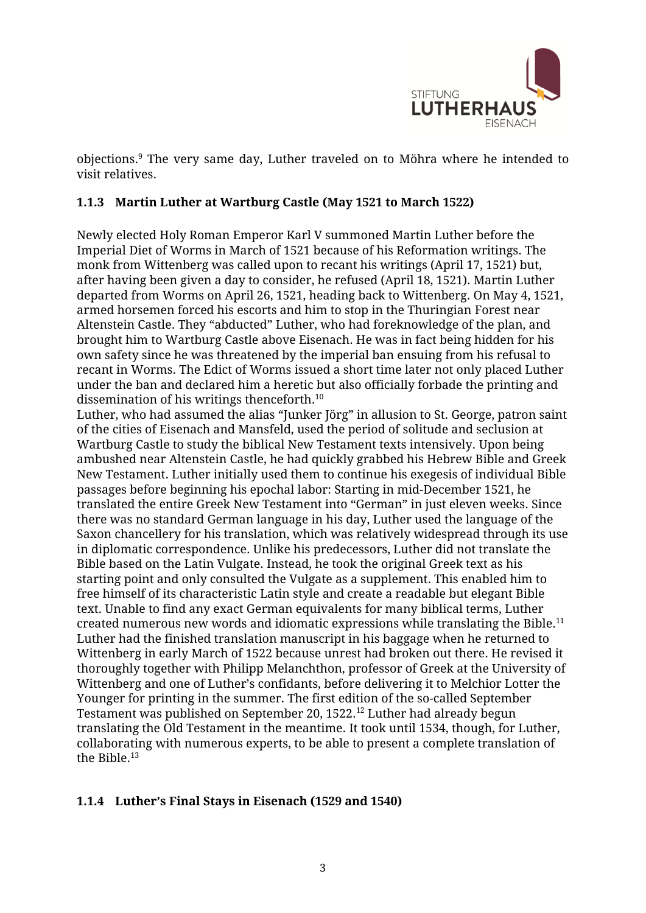

objections. <sup>9</sup> The very same day, Luther traveled on to Möhra where he intended to visit relatives.

# <span id="page-2-0"></span>**1.1.3 Martin Luther at Wartburg Castle (May 1521 to March 1522)**

Newly elected Holy Roman Emperor Karl V summoned Martin Luther before the Imperial Diet of Worms in March of 1521 because of his Reformation writings. The monk from Wittenberg was called upon to recant his writings (April 17, 1521) but, after having been given a day to consider, he refused (April 18, 1521). Martin Luther departed from Worms on April 26, 1521, heading back to Wittenberg. On May 4, 1521, armed horsemen forced his escorts and him to stop in the Thuringian Forest near Altenstein Castle. They "abducted" Luther, who had foreknowledge of the plan, and brought him to Wartburg Castle above Eisenach. He was in fact being hidden for his own safety since he was threatened by the imperial ban ensuing from his refusal to recant in Worms. The Edict of Worms issued a short time later not only placed Luther under the ban and declared him a heretic but also officially forbade the printing and dissemination of his writings thenceforth.<sup>10</sup>

Luther, who had assumed the alias "Junker Jörg" in allusion to St. George, patron saint of the cities of Eisenach and Mansfeld, used the period of solitude and seclusion at Wartburg Castle to study the biblical New Testament texts intensively. Upon being ambushed near Altenstein Castle, he had quickly grabbed his Hebrew Bible and Greek New Testament. Luther initially used them to continue his exegesis of individual Bible passages before beginning his epochal labor: Starting in mid-December 1521, he translated the entire Greek New Testament into "German" in just eleven weeks. Since there was no standard German language in his day, Luther used the language of the Saxon chancellery for his translation, which was relatively widespread through its use in diplomatic correspondence. Unlike his predecessors, Luther did not translate the Bible based on the Latin Vulgate. Instead, he took the original Greek text as his starting point and only consulted the Vulgate as a supplement. This enabled him to free himself of its characteristic Latin style and create a readable but elegant Bible text. Unable to find any exact German equivalents for many biblical terms, Luther created numerous new words and idiomatic expressions while translating the Bible.<sup>11</sup> Luther had the finished translation manuscript in his baggage when he returned to Wittenberg in early March of 1522 because unrest had broken out there. He revised it thoroughly together with Philipp Melanchthon, professor of Greek at the University of Wittenberg and one of Luther's confidants, before delivering it to Melchior Lotter the Younger for printing in the summer. The first edition of the so-called September Testament was published on September 20, 1522.<sup>12</sup> Luther had already begun translating the Old Testament in the meantime. It took until 1534, though, for Luther, collaborating with numerous experts, to be able to present a complete translation of the Bible.<sup>13</sup>

# <span id="page-2-1"></span>**1.1.4 Luther's Final Stays in Eisenach (1529 and 1540)**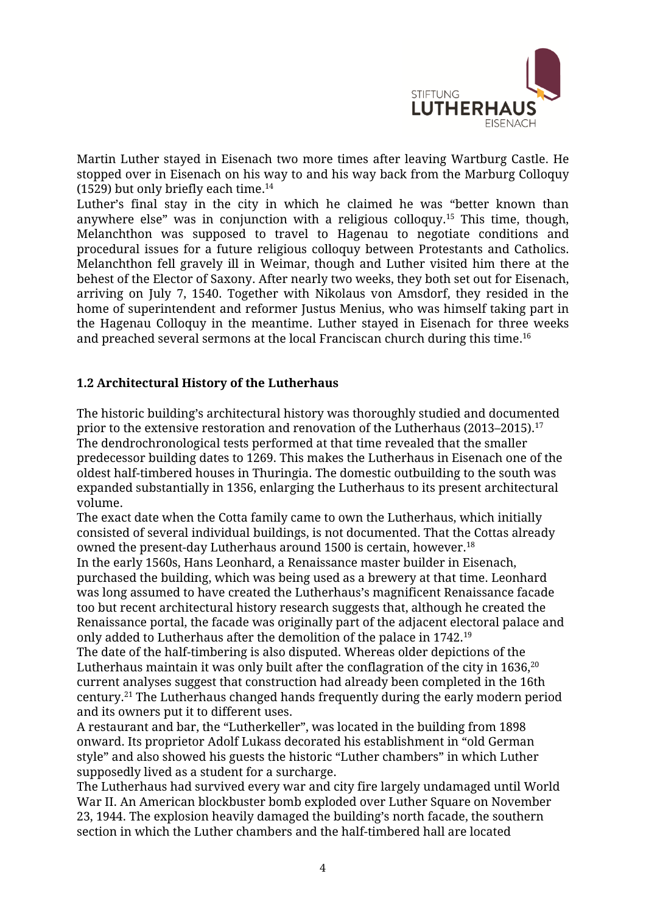

Martin Luther stayed in Eisenach two more times after leaving Wartburg Castle. He stopped over in Eisenach on his way to and his way back from the Marburg Colloquy (1529) but only briefly each time. 14

Luther's final stay in the city in which he claimed he was "better known than anywhere else" was in conjunction with a religious colloquy.<sup>15</sup> This time, though, Melanchthon was supposed to travel to Hagenau to negotiate conditions and procedural issues for a future religious colloquy between Protestants and Catholics. Melanchthon fell gravely ill in Weimar, though and Luther visited him there at the behest of the Elector of Saxony. After nearly two weeks, they both set out for Eisenach, arriving on July 7, 1540. Together with Nikolaus von Amsdorf, they resided in the home of superintendent and reformer Justus Menius, who was himself taking part in the Hagenau Colloquy in the meantime. Luther stayed in Eisenach for three weeks and preached several sermons at the local Franciscan church during this time. 16

### <span id="page-3-0"></span>**1.2 Architectural History of the Lutherhaus**

The historic building's architectural history was thoroughly studied and documented prior to the extensive restoration and renovation of the Lutherhaus (2013–2015).<sup>17</sup> The dendrochronological tests performed at that time revealed that the smaller predecessor building dates to 1269. This makes the Lutherhaus in Eisenach one of the oldest half-timbered houses in Thuringia. The domestic outbuilding to the south was expanded substantially in 1356, enlarging the Lutherhaus to its present architectural volume.

The exact date when the Cotta family came to own the Lutherhaus, which initially consisted of several individual buildings, is not documented. That the Cottas already owned the present-day Lutherhaus around 1500 is certain, however. 18

In the early 1560s, Hans Leonhard, a Renaissance master builder in Eisenach, purchased the building, which was being used as a brewery at that time. Leonhard was long assumed to have created the Lutherhaus's magnificent Renaissance facade too but recent architectural history research suggests that, although he created the Renaissance portal, the facade was originally part of the adjacent electoral palace and only added to Lutherhaus after the demolition of the palace in 1742.<sup>19</sup>

The date of the half-timbering is also disputed. Whereas older depictions of the Lutherhaus maintain it was only built after the conflagration of the city in  $1636<sup>20</sup>$ current analyses suggest that construction had already been completed in the 16th century.<sup>21</sup> The Lutherhaus changed hands frequently during the early modern period and its owners put it to different uses.

A restaurant and bar, the "Lutherkeller", was located in the building from 1898 onward. Its proprietor Adolf Lukass decorated his establishment in "old German style" and also showed his guests the historic "Luther chambers" in which Luther supposedly lived as a student for a surcharge.

The Lutherhaus had survived every war and city fire largely undamaged until World War II. An American blockbuster bomb exploded over Luther Square on November 23, 1944. The explosion heavily damaged the building's north facade, the southern section in which the Luther chambers and the half-timbered hall are located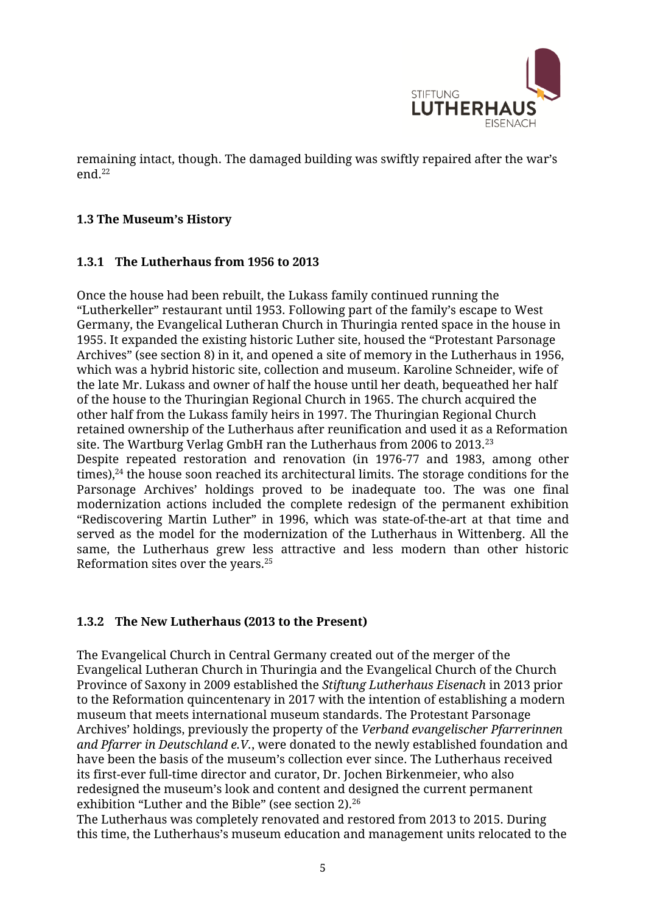

remaining intact, though. The damaged building was swiftly repaired after the war's end.<sup>22</sup>

### <span id="page-4-0"></span>**1.3 The Museum's History**

### <span id="page-4-1"></span>**1.3.1 The Lutherhaus from 1956 to 2013**

Once the house had been rebuilt, the Lukass family continued running the "Lutherkeller" restaurant until 1953. Following part of the family's escape to West Germany, the Evangelical Lutheran Church in Thuringia rented space in the house in 1955. It expanded the existing historic Luther site, housed the "Protestant Parsonage Archives" (see section 8) in it, and opened a site of memory in the Lutherhaus in 1956, which was a hybrid historic site, collection and museum. Karoline Schneider, wife of the late Mr. Lukass and owner of half the house until her death, bequeathed her half of the house to the Thuringian Regional Church in 1965. The church acquired the other half from the Lukass family heirs in 1997. The Thuringian Regional Church retained ownership of the Lutherhaus after reunification and used it as a Reformation site. The Wartburg Verlag GmbH ran the Lutherhaus from 2006 to 2013.<sup>23</sup> Despite repeated restoration and renovation (in 1976-77 and 1983, among other times), $^{24}$  the house soon reached its architectural limits. The storage conditions for the Parsonage Archives' holdings proved to be inadequate too. The was one final modernization actions included the complete redesign of the permanent exhibition "Rediscovering Martin Luther" in 1996, which was state-of-the-art at that time and served as the model for the modernization of the Lutherhaus in Wittenberg. All the same, the Lutherhaus grew less attractive and less modern than other historic Reformation sites over the years.<sup>25</sup>

# <span id="page-4-2"></span>**1.3.2 The New Lutherhaus (2013 to the Present)**

The Evangelical Church in Central Germany created out of the merger of the Evangelical Lutheran Church in Thuringia and the Evangelical Church of the Church Province of Saxony in 2009 established the *Stiftung Lutherhaus Eisenach* in 2013 prior to the Reformation quincentenary in 2017 with the intention of establishing a modern museum that meets international museum standards. The Protestant Parsonage Archives' holdings, previously the property of the *Verband evangelischer Pfarrerinnen and Pfarrer in Deutschland e.V.*, were donated to the newly established foundation and have been the basis of the museum's collection ever since. The Lutherhaus received its first-ever full-time director and curator, Dr. Jochen Birkenmeier, who also redesigned the museum's look and content and designed the current permanent exhibition "Luther and the Bible" (see section 2).<sup>26</sup>

The Lutherhaus was completely renovated and restored from 2013 to 2015. During this time, the Lutherhaus's museum education and management units relocated to the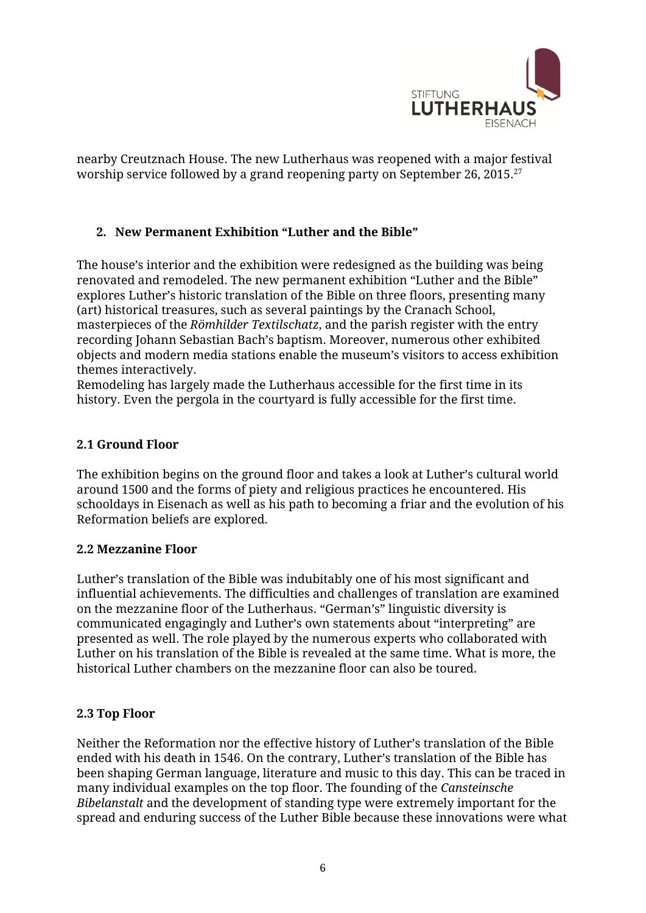

nearby Creutznach House. The new Lutherhaus was reopened with a major festival worship service followed by a grand reopening party on September 26, 2015. 27

# <span id="page-5-0"></span>**2. New Permanent Exhibition "Luther and the Bible"**

The house's interior and the exhibition were redesigned as the building was being renovated and remodeled. The new permanent exhibition "Luther and the Bible" explores Luther's historic translation of the Bible on three floors, presenting many (art) historical treasures, such as several paintings by the Cranach School, masterpieces of the *Römhilder Textilschatz*, and the parish register with the entry recording Johann Sebastian Bach's baptism. Moreover, numerous other exhibited objects and modern media stations enable the museum's visitors to access exhibition themes interactively.

Remodeling has largely made the Lutherhaus accessible for the first time in its history. Even the pergola in the courtyard is fully accessible for the first time.

# <span id="page-5-1"></span>**2.1 Ground Floor**

The exhibition begins on the ground floor and takes a look at Luther's cultural world around 1500 and the forms of piety and religious practices he encountered. His schooldays in Eisenach as well as his path to becoming a friar and the evolution of his Reformation beliefs are explored.

### <span id="page-5-2"></span>**2.2 Mezzanine Floor**

Luther's translation of the Bible was indubitably one of his most significant and influential achievements. The difficulties and challenges of translation are examined on the mezzanine floor of the Lutherhaus. "German's" linguistic diversity is communicated engagingly and Luther's own statements about "interpreting" are presented as well. The role played by the numerous experts who collaborated with Luther on his translation of the Bible is revealed at the same time. What is more, the historical Luther chambers on the mezzanine floor can also be toured.

### <span id="page-5-3"></span>**2.3 Top Floor**

Neither the Reformation nor the effective history of Luther's translation of the Bible ended with his death in 1546. On the contrary, Luther's translation of the Bible has been shaping German language, literature and music to this day. This can be traced in many individual examples on the top floor. The founding of the *Cansteinsche Bibelanstalt* and the development of standing type were extremely important for the spread and enduring success of the Luther Bible because these innovations were what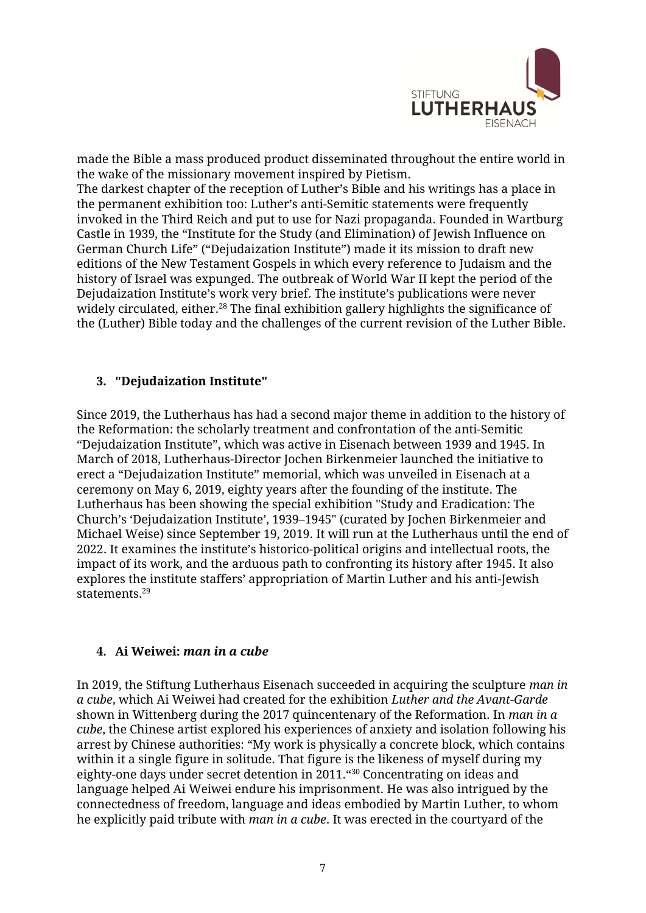

made the Bible a mass produced product disseminated throughout the entire world in the wake of the missionary movement inspired by Pietism.

The darkest chapter of the reception of Luther's Bible and his writings has a place in the permanent exhibition too: Luther's anti-Semitic statements were frequently invoked in the Third Reich and put to use for Nazi propaganda. Founded in Wartburg Castle in 1939, the "Institute for the Study (and Elimination) of Jewish Influence on German Church Life" ("Dejudaization Institute") made it its mission to draft new editions of the New Testament Gospels in which every reference to Judaism and the history of Israel was expunged. The outbreak of World War II kept the period of the Dejudaization Institute's work very brief. The institute's publications were never widely circulated, either.<sup>28</sup> The final exhibition gallery highlights the significance of the (Luther) Bible today and the challenges of the current revision of the Luther Bible.

### <span id="page-6-0"></span>**3. "Dejudaization Institute"**

Since 2019, the Lutherhaus has had a second major theme in addition to the history of the Reformation: the scholarly treatment and confrontation of the anti-Semitic "Dejudaization Institute", which was active in Eisenach between 1939 and 1945. In March of 2018, Lutherhaus-Director Jochen Birkenmeier launched the initiative to erect a "Dejudaization Institute" memorial, which was unveiled in Eisenach at a ceremony on May 6, 2019, eighty years after the founding of the institute. The Lutherhaus has been showing the special exhibition "Study and Eradication: The Church's 'Dejudaization Institute', 1939–1945" (curated by Jochen Birkenmeier and Michael Weise) since September 19, 2019. It will run at the Lutherhaus until the end of 2022. It examines the institute's historico-political origins and intellectual roots, the impact of its work, and the arduous path to confronting its history after 1945. It also explores the institute staffers' appropriation of Martin Luther and his anti-Jewish statements.<sup>29</sup>

# <span id="page-6-1"></span>**4. Ai Weiwei:** *man in a cube*

In 2019, the Stiftung Lutherhaus Eisenach succeeded in acquiring the sculpture *man in a cube*, which Ai Weiwei had created for the exhibition *Luther and the Avant-Garde* shown in Wittenberg during the 2017 quincentenary of the Reformation. In *man in a cube*, the Chinese artist explored his experiences of anxiety and isolation following his arrest by Chinese authorities: "My work is physically a concrete block, which contains within it a single figure in solitude. That figure is the likeness of myself during my eighty-one days under secret detention in 2011."<sup>30</sup> Concentrating on ideas and language helped Ai Weiwei endure his imprisonment. He was also intrigued by the connectedness of freedom, language and ideas embodied by Martin Luther, to whom he explicitly paid tribute with *man in a cube*. It was erected in the courtyard of the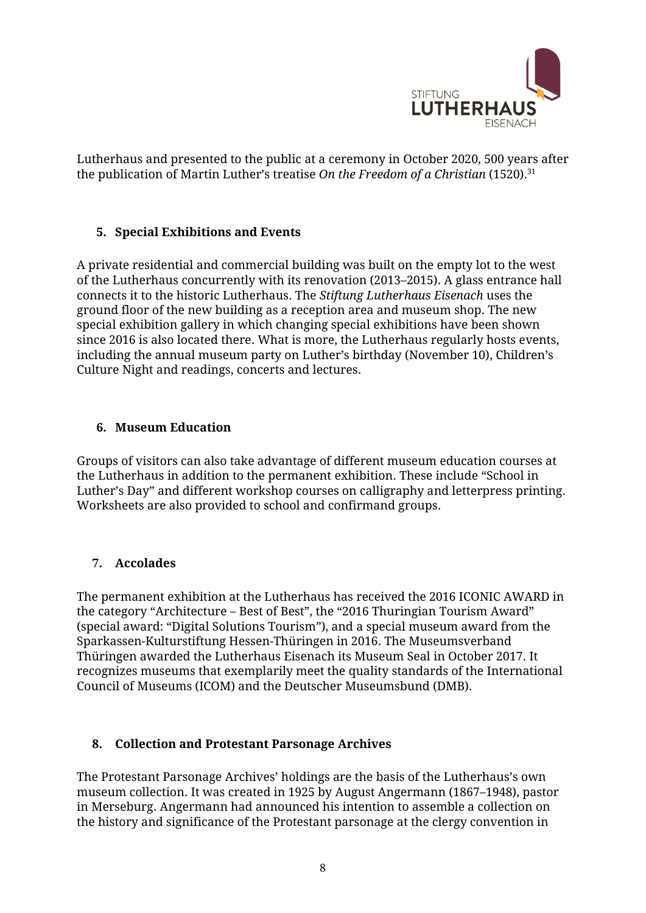

Lutherhaus and presented to the public at a ceremony in October 2020, 500 years after the publication of Martin Luther's treatise *On the Freedom of a Christian* (1520).<sup>31</sup>

# <span id="page-7-0"></span>**5. Special Exhibitions and Events**

A private residential and commercial building was built on the empty lot to the west of the Lutherhaus concurrently with its renovation (2013–2015). A glass entrance hall connects it to the historic Lutherhaus. The *Stiftung Lutherhaus Eisenach* uses the ground floor of the new building as a reception area and museum shop. The new special exhibition gallery in which changing special exhibitions have been shown since 2016 is also located there. What is more, the Lutherhaus regularly hosts events, including the annual museum party on Luther's birthday (November 10), Children's Culture Night and readings, concerts and lectures.

# <span id="page-7-1"></span>**6. Museum Education**

Groups of visitors can also take advantage of different museum education courses at the Lutherhaus in addition to the permanent exhibition. These include "School in Luther's Day" and different workshop courses on calligraphy and letterpress printing. Worksheets are also provided to school and confirmand groups.

# <span id="page-7-2"></span>**7. Accolades**

The permanent exhibition at the Lutherhaus has received the 2016 ICONIC AWARD in the category "Architecture – Best of Best", the "2016 Thuringian Tourism Award" (special award: "Digital Solutions Tourism"), and a special museum award from the Sparkassen-Kulturstiftung Hessen-Thüringen in 2016. The Museumsverband Thüringen awarded the Lutherhaus Eisenach its Museum Seal in October 2017. It recognizes museums that exemplarily meet the quality standards of the International Council of Museums (ICOM) and the Deutscher Museumsbund (DMB).

### <span id="page-7-3"></span>**8. Collection and Protestant Parsonage Archives**

The Protestant Parsonage Archives' holdings are the basis of the Lutherhaus's own museum collection. It was created in 1925 by August Angermann (1867–1948), pastor in Merseburg. Angermann had announced his intention to assemble a collection on the history and significance of the Protestant parsonage at the clergy convention in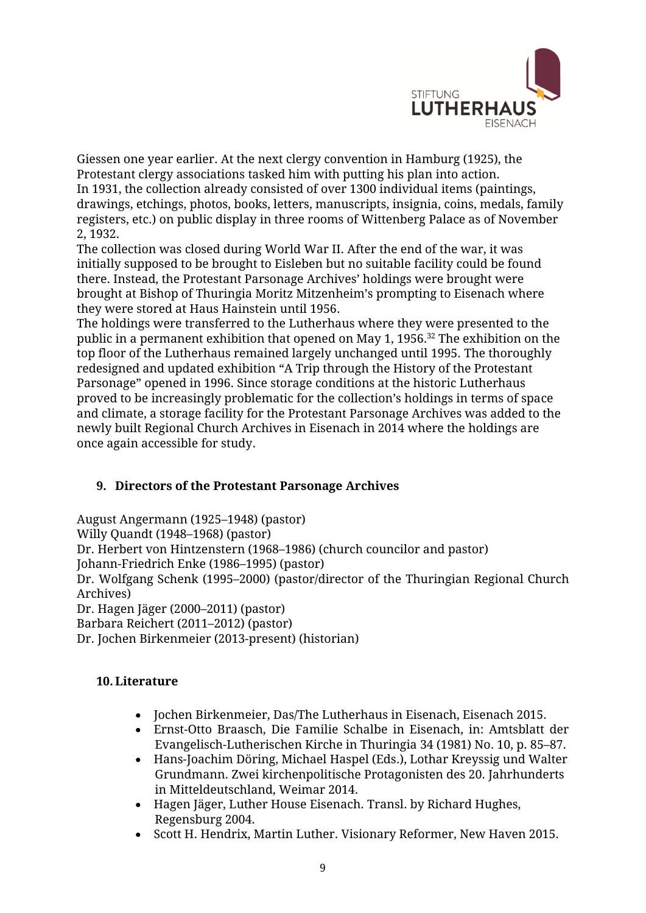

Giessen one year earlier. At the next clergy convention in Hamburg (1925), the Protestant clergy associations tasked him with putting his plan into action. In 1931, the collection already consisted of over 1300 individual items (paintings, drawings, etchings, photos, books, letters, manuscripts, insignia, coins, medals, family registers, etc.) on public display in three rooms of Wittenberg Palace as of November 2, 1932.

The collection was closed during World War II. After the end of the war, it was initially supposed to be brought to Eisleben but no suitable facility could be found there. Instead, the Protestant Parsonage Archives' holdings were brought were brought at Bishop of Thuringia Moritz Mitzenheim's prompting to Eisenach where they were stored at Haus Hainstein until 1956.

The holdings were transferred to the Lutherhaus where they were presented to the public in a permanent exhibition that opened on May 1, 1956.<sup>32</sup> The exhibition on the top floor of the Lutherhaus remained largely unchanged until 1995. The thoroughly redesigned and updated exhibition "A Trip through the History of the Protestant Parsonage" opened in 1996. Since storage conditions at the historic Lutherhaus proved to be increasingly problematic for the collection's holdings in terms of space and climate, a storage facility for the Protestant Parsonage Archives was added to the newly built Regional Church Archives in Eisenach in 2014 where the holdings are once again accessible for study.

# <span id="page-8-0"></span>**9. Directors of the Protestant Parsonage Archives**

August Angermann (1925–1948) (pastor) Willy Quandt (1948–1968) (pastor) Dr. Herbert von Hintzenstern (1968–1986) (church councilor and pastor) Johann-Friedrich Enke (1986–1995) (pastor) Dr. Wolfgang Schenk (1995–2000) (pastor/director of the Thuringian Regional Church Archives) Dr. Hagen Jäger (2000–2011) (pastor) Barbara Reichert (2011–2012) (pastor) Dr. Jochen Birkenmeier (2013-present) (historian)

### <span id="page-8-1"></span>**10.Literature**

- Jochen Birkenmeier, Das/The Lutherhaus in Eisenach, Eisenach 2015.
- Ernst-Otto Braasch, Die Familie Schalbe in Eisenach, in: Amtsblatt der Evangelisch-Lutherischen Kirche in Thuringia 34 (1981) No. 10, p. 85–87.
- Hans-Joachim Döring, Michael Haspel (Eds.), Lothar Kreyssig und Walter Grundmann. Zwei kirchenpolitische Protagonisten des 20. Jahrhunderts in Mitteldeutschland, Weimar 2014.
- Hagen Jäger, Luther House Eisenach. Transl. by Richard Hughes, Regensburg 2004.
- Scott H. Hendrix, Martin Luther. Visionary Reformer, New Haven 2015.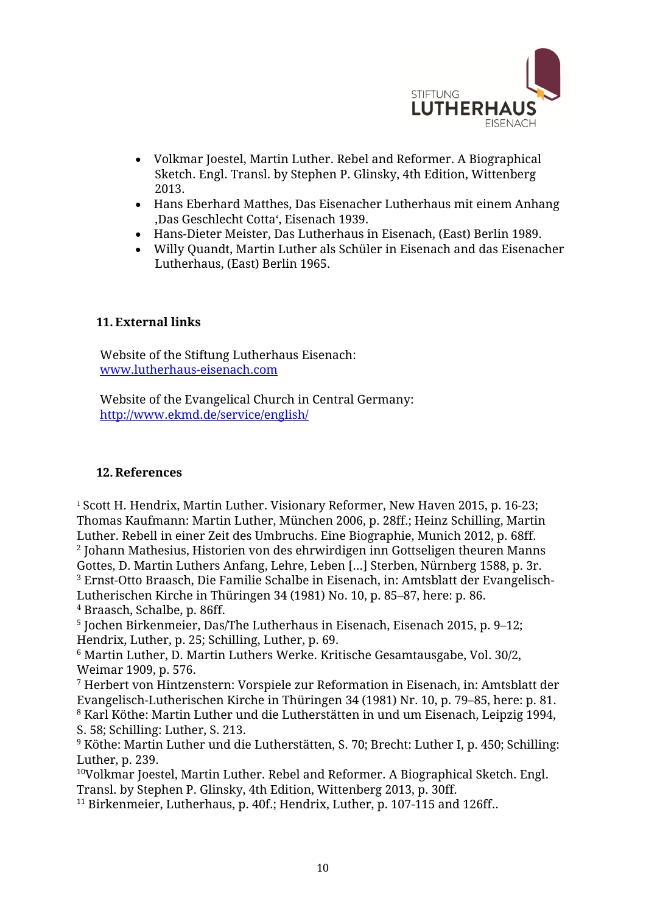

- Volkmar Joestel, Martin Luther. Rebel and Reformer. A Biographical Sketch. Engl. Transl. by Stephen P. Glinsky, 4th Edition, Wittenberg 2013.
- Hans Eberhard Matthes, Das Eisenacher Lutherhaus mit einem Anhang 'Das Geschlecht Cotta', Eisenach 1939.
- Hans-Dieter Meister, Das Lutherhaus in Eisenach, (East) Berlin 1989.
- Willy Quandt, Martin Luther als Schüler in Eisenach and das Eisenacher Lutherhaus, (East) Berlin 1965.

### <span id="page-9-0"></span>**11. External links**

Website of the Stiftung Lutherhaus Eisenach: [www.lutherhaus-eisenach.com](http://www.lutherhaus-eisenach.com/)

Website of the Evangelical Church in Central Germany: <http://www.ekmd.de/service/english/>

### <span id="page-9-1"></span>**12. References**

<sup>1</sup> Scott H. Hendrix, Martin Luther. Visionary Reformer, New Haven 2015, p. 16-23; Thomas Kaufmann: Martin Luther, München 2006, p. 28ff.; Heinz Schilling, Martin Luther. Rebell in einer Zeit des Umbruchs. Eine Biographie, Munich 2012, p. 68ff. 2 Johann Mathesius, Historien von des ehrwirdigen inn Gottseligen theuren Manns Gottes, D. Martin Luthers Anfang, Lehre, Leben […] Sterben, Nürnberg 1588, p. 3r. <sup>3</sup> Ernst-Otto Braasch, Die Familie Schalbe in Eisenach, in: Amtsblatt der Evangelisch-Lutherischen Kirche in Thüringen 34 (1981) No. 10, p. 85–87, here: p. 86. <sup>4</sup> Braasch, Schalbe, p. 86ff.

5 Jochen Birkenmeier, Das/The Lutherhaus in Eisenach, Eisenach 2015, p. 9–12; Hendrix, Luther, p. 25; Schilling, Luther, p. 69.

<sup>6</sup> Martin Luther, D. Martin Luthers Werke. Kritische Gesamtausgabe, Vol. 30/2, Weimar 1909, p. 576.

<sup>7</sup> Herbert von Hintzenstern: Vorspiele zur Reformation in Eisenach, in: Amtsblatt der Evangelisch-Lutherischen Kirche in Thüringen 34 (1981) Nr. 10, p. 79–85, here: p. 81. <sup>8</sup> Karl Köthe: Martin Luther und die Lutherstätten in und um Eisenach, Leipzig 1994, S. 58; Schilling: Luther, S. 213.

 $9$  Köthe: Martin Luther und die Lutherstätten, S. 70; Brecht: Luther I, p. 450; Schilling: Luther, p. 239.

<sup>10</sup>Volkmar Joestel, Martin Luther. Rebel and Reformer. A Biographical Sketch. Engl. Transl. by Stephen P. Glinsky, 4th Edition, Wittenberg 2013, p. 30ff.

<sup>11</sup> Birkenmeier, Lutherhaus, p. 40f.; Hendrix, Luther, p. 107-115 and 126ff..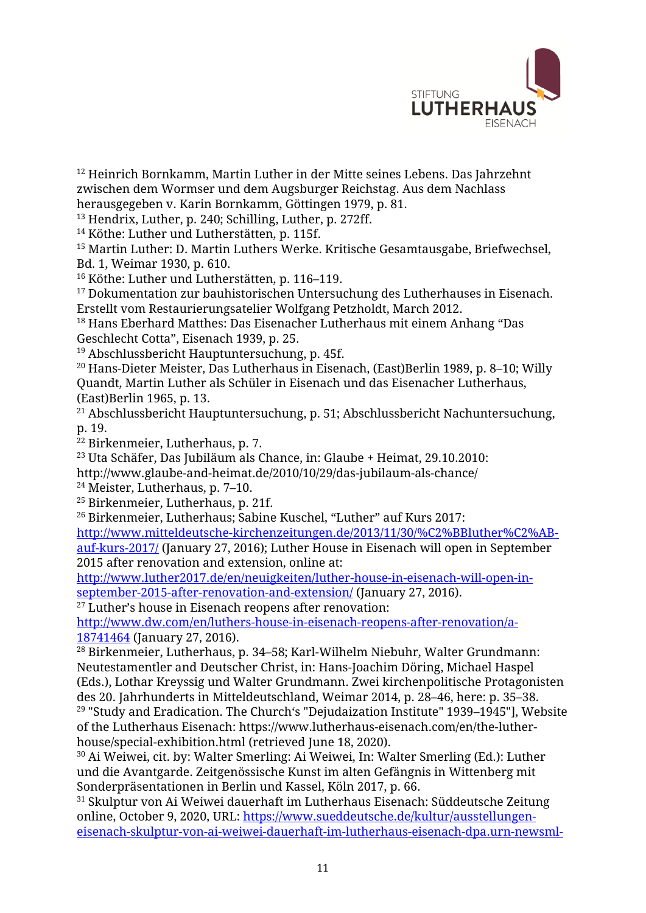

<sup>12</sup> Heinrich Bornkamm, Martin Luther in der Mitte seines Lebens. Das Jahrzehnt zwischen dem Wormser und dem Augsburger Reichstag. Aus dem Nachlass herausgegeben v. Karin Bornkamm, Göttingen 1979, p. 81.

<sup>13</sup> Hendrix, Luther, p. 240; Schilling, Luther, p. 272ff.

<sup>14</sup> Köthe: Luther und Lutherstätten, p. 115f.

<sup>15</sup> Martin Luther: D. Martin Luthers Werke. Kritische Gesamtausgabe, Briefwechsel, Bd. 1, Weimar 1930, p. 610.

<sup>16</sup> Köthe: Luther und Lutherstätten, p. 116–119.

<sup>17</sup> Dokumentation zur bauhistorischen Untersuchung des Lutherhauses in Eisenach. Erstellt vom Restaurierungsatelier Wolfgang Petzholdt, March 2012.

<sup>18</sup> Hans Eberhard Matthes: Das Eisenacher Lutherhaus mit einem Anhang "Das Geschlecht Cotta", Eisenach 1939, p. 25.

<sup>19</sup> Abschlussbericht Hauptuntersuchung, p. 45f.

<sup>20</sup> Hans-Dieter Meister, Das Lutherhaus in Eisenach, (East)Berlin 1989, p. 8–10; Willy Quandt, Martin Luther als Schüler in Eisenach und das Eisenacher Lutherhaus, (East)Berlin 1965, p. 13.

<sup>21</sup> Abschlussbericht Hauptuntersuchung, p. 51; Abschlussbericht Nachuntersuchung, p. 19.

<sup>22</sup> Birkenmeier, Lutherhaus, p. 7.

<sup>23</sup> Uta Schäfer, Das Jubiläum als Chance, in: Glaube + Heimat, 29.10.2010:

http://www.glaube-and-heimat.de/2010/10/29/das-jubilaum-als-chance/

<sup>24</sup> Meister, Lutherhaus, p. 7–10.

<sup>25</sup> Birkenmeier, Lutherhaus, p. 21f.

<sup>26</sup> Birkenmeier, Lutherhaus; Sabine Kuschel, "Luther" auf Kurs 2017:

[http://www.mitteldeutsche-kirchenzeitungen.de/2013/11/30/%C2%BBluther%C2%AB](http://www.mitteldeutsche-kirchenzeitungen.de/2013/11/30/%C2%BBluther%C2%AB-auf-kurs-2017/)[auf-kurs-2017/](http://www.mitteldeutsche-kirchenzeitungen.de/2013/11/30/%C2%BBluther%C2%AB-auf-kurs-2017/) (January 27, 2016); Luther House in Eisenach will open in September 2015 after renovation and extension, online at:

[http://www.luther2017.de/en/neuigkeiten/luther-house-in-eisenach-will-open-in](http://www.luther2017.de/en/neuigkeiten/luther-house-in-eisenach-will-open-in-september-2015-after-renovation-and-extension/)[september-2015-after-renovation-and-extension/](http://www.luther2017.de/en/neuigkeiten/luther-house-in-eisenach-will-open-in-september-2015-after-renovation-and-extension/) (January 27, 2016).

<sup>27</sup> Luther's house in Eisenach reopens after renovation:

[http://www.dw.com/en/luthers-house-in-eisenach-reopens-after-renovation/a-](http://www.dw.com/en/luthers-house-in-eisenach-reopens-after-renovation/a-18741464)[18741464](http://www.dw.com/en/luthers-house-in-eisenach-reopens-after-renovation/a-18741464) (January 27, 2016).

<sup>28</sup> Birkenmeier, Lutherhaus, p. 34–58; Karl-Wilhelm Niebuhr, Walter Grundmann: Neutestamentler and Deutscher Christ, in: Hans-Joachim Döring, Michael Haspel (Eds.), Lothar Kreyssig und Walter Grundmann. Zwei kirchenpolitische Protagonisten des 20. Jahrhunderts in Mitteldeutschland, Weimar 2014, p. 28–46, here: p. 35–38. <sup>29</sup> "Study and Eradication. The Church's "Dejudaization Institute" 1939–1945"], Website

of the Lutherhaus Eisenach: https://www.lutherhaus-eisenach.com/en/the-lutherhouse/special-exhibition.html (retrieved June 18, 2020).

<sup>30</sup> Ai Weiwei, cit. by: Walter Smerling: Ai Weiwei, In: Walter Smerling (Ed.): Luther und die Avantgarde. Zeitgenössische Kunst im alten Gefängnis in Wittenberg mit Sonderpräsentationen in Berlin und Kassel, Köln 2017, p. 66.

 $31$  Skulptur von Ai Weiwei dauerhaft im Lutherhaus Eisenach: Süddeutsche Zeitung online, October 9, 2020, URL: [https://www.sueddeutsche.de/kultur/ausstellungen](https://www.sueddeutsche.de/kultur/ausstellungen-eisenach-skulptur-von-ai-weiwei-dauerhaft-im-lutherhaus-eisenach-dpa.urn-newsml-dpa-com-20090101-201009-99-888690)[eisenach-skulptur-von-ai-weiwei-dauerhaft-im-lutherhaus-eisenach-dpa.urn-newsml-](https://www.sueddeutsche.de/kultur/ausstellungen-eisenach-skulptur-von-ai-weiwei-dauerhaft-im-lutherhaus-eisenach-dpa.urn-newsml-dpa-com-20090101-201009-99-888690)